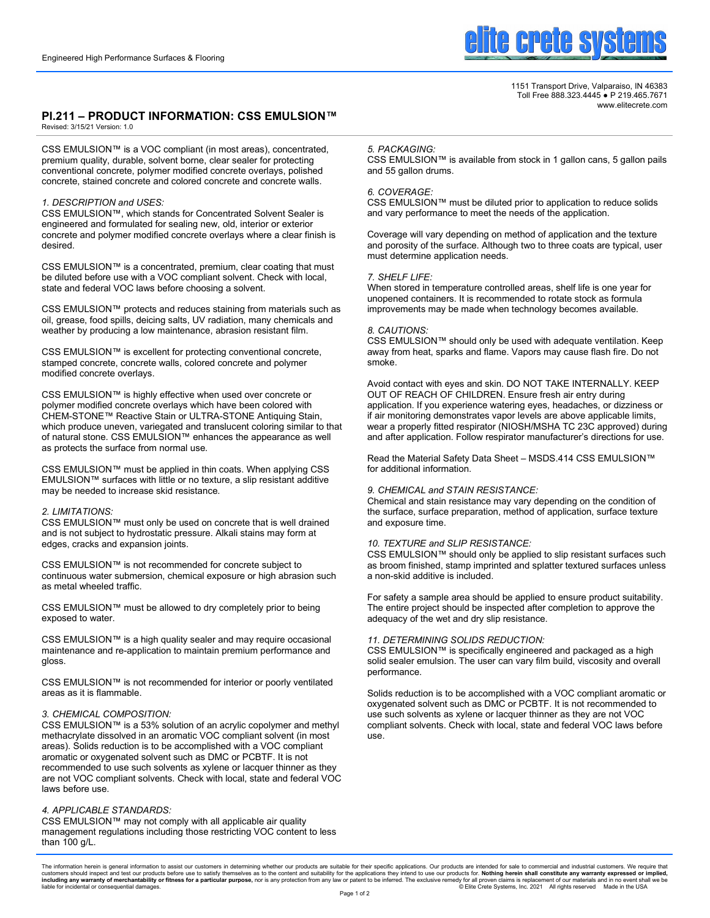

1151 Transport Drive, Valparaiso, IN 46383 Toll Free 888.323.4445 ● P 219.465.7671 www.elitecrete.com

# **PI.211 – PRODUCT INFORMATION: CSS EMULSION™**

Revised: 3/15/21 Version: 1.0

CSS EMULSION™ is a VOC compliant (in most areas), concentrated, premium quality, durable, solvent borne, clear sealer for protecting conventional concrete, polymer modified concrete overlays, polished concrete, stained concrete and colored concrete and concrete walls.

# *1. DESCRIPTION and USES:*

CSS EMULSION™, which stands for Concentrated Solvent Sealer is engineered and formulated for sealing new, old, interior or exterior concrete and polymer modified concrete overlays where a clear finish is desired.

CSS EMULSION™ is a concentrated, premium, clear coating that must be diluted before use with a VOC compliant solvent. Check with local, state and federal VOC laws before choosing a solvent.

CSS EMULSION™ protects and reduces staining from materials such as oil, grease, food spills, deicing salts, UV radiation, many chemicals and weather by producing a low maintenance, abrasion resistant film.

CSS EMULSION™ is excellent for protecting conventional concrete, stamped concrete, concrete walls, colored concrete and polymer modified concrete overlays.

CSS EMULSION™ is highly effective when used over concrete or polymer modified concrete overlays which have been colored with CHEM-STONE™ Reactive Stain or ULTRA-STONE Antiquing Stain, which produce uneven, variegated and translucent coloring similar to that of natural stone. CSS EMULSION™ enhances the appearance as well as protects the surface from normal use.

CSS EMULSION™ must be applied in thin coats. When applying CSS EMULSION™ surfaces with little or no texture, a slip resistant additive may be needed to increase skid resistance.

# *2. LIMITATIONS:*

CSS EMULSION™ must only be used on concrete that is well drained and is not subject to hydrostatic pressure. Alkali stains may form at edges, cracks and expansion joints.

CSS EMULSION™ is not recommended for concrete subject to continuous water submersion, chemical exposure or high abrasion such as metal wheeled traffic.

CSS EMULSION™ must be allowed to dry completely prior to being exposed to water.

CSS EMULSION™ is a high quality sealer and may require occasional maintenance and re-application to maintain premium performance and gloss.

CSS EMULSION™ is not recommended for interior or poorly ventilated areas as it is flammable.

# *3. CHEMICAL COMPOSITION:*

CSS EMULSION™ is a 53% solution of an acrylic copolymer and methyl methacrylate dissolved in an aromatic VOC compliant solvent (in most areas). Solids reduction is to be accomplished with a VOC compliant aromatic or oxygenated solvent such as DMC or PCBTF. It is not recommended to use such solvents as xylene or lacquer thinner as they are not VOC compliant solvents. Check with local, state and federal VOC laws before use.

# *4. APPLICABLE STANDARDS:*

CSS EMULSION™ may not comply with all applicable air quality management regulations including those restricting VOC content to less than 100 g/L.

#### *5. PACKAGING:*

CSS EMULSION™ is available from stock in 1 gallon cans, 5 gallon pails and 55 gallon drums.

#### *6. COVERAGE:*

CSS EMULSION™ must be diluted prior to application to reduce solids and vary performance to meet the needs of the application.

Coverage will vary depending on method of application and the texture and porosity of the surface. Although two to three coats are typical, user must determine application needs.

#### *7. SHELF LIFE:*

When stored in temperature controlled areas, shelf life is one year for unopened containers. It is recommended to rotate stock as formula improvements may be made when technology becomes available.

# *8. CAUTIONS:*

CSS EMULSION™ should only be used with adequate ventilation. Keep away from heat, sparks and flame. Vapors may cause flash fire. Do not smoke.

Avoid contact with eyes and skin. DO NOT TAKE INTERNALLY. KEEP OUT OF REACH OF CHILDREN. Ensure fresh air entry during application. If you experience watering eyes, headaches, or dizziness or if air monitoring demonstrates vapor levels are above applicable limits, wear a properly fitted respirator (NIOSH/MSHA TC 23C approved) during and after application. Follow respirator manufacturer's directions for use.

Read the Material Safety Data Sheet – MSDS.414 CSS EMULSION™ for additional information.

#### *9. CHEMICAL and STAIN RESISTANCE:*

Chemical and stain resistance may vary depending on the condition of the surface, surface preparation, method of application, surface texture and exposure time.

#### *10. TEXTURE and SLIP RESISTANCE:*

CSS EMULSION™ should only be applied to slip resistant surfaces such as broom finished, stamp imprinted and splatter textured surfaces unless a non-skid additive is included.

For safety a sample area should be applied to ensure product suitability. The entire project should be inspected after completion to approve the adequacy of the wet and dry slip resistance.

#### *11. DETERMINING SOLIDS REDUCTION:*

CSS EMULSION™ is specifically engineered and packaged as a high solid sealer emulsion. The user can vary film build, viscosity and overall performance.

Solids reduction is to be accomplished with a VOC compliant aromatic or oxygenated solvent such as DMC or PCBTF. It is not recommended to use such solvents as xylene or lacquer thinner as they are not VOC compliant solvents. Check with local, state and federal VOC laws before use.

The information herein is general information to assist our customers in determining whether our products are suitable for their specific applications. Our products are intended for sale to commercial and industrial custom customers should inspect and test our products before use to satisfy themselves as to the content and suitability for the applications they intend to use our products for. **Nothing herein shall constitute any warranty exp**